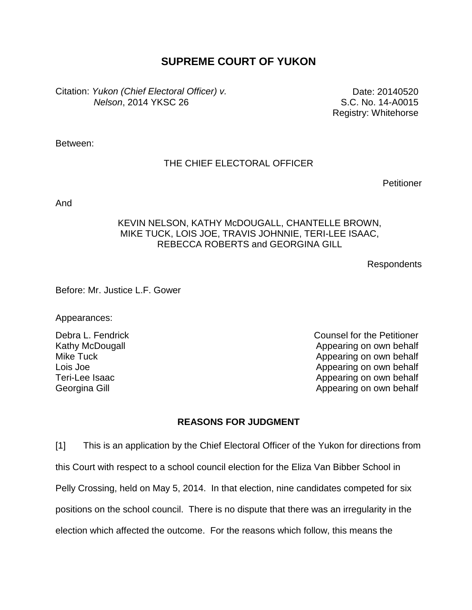# **SUPREME COURT OF YUKON**

Citation: *Yukon (Chief Electoral Officer) v. Nelson*, 2014 YKSC 26

Date: 20140520 S.C. No. 14-A0015 Registry: Whitehorse

Between:

## THE CHIEF ELECTORAL OFFICER

**Petitioner** 

And

### KEVIN NELSON, KATHY McDOUGALL, CHANTELLE BROWN, MIKE TUCK, LOIS JOE, TRAVIS JOHNNIE, TERI-LEE ISAAC, REBECCA ROBERTS and GEORGINA GILL

Respondents

Before: Mr. Justice L.F. Gower

Appearances:

Kathy McDougall Mike Tuck Lois Joe Teri-Lee Isaac Georgina Gill

Debra L. Fendrick Counsel for the Petitioner Appearing on own behalf Appearing on own behalf Appearing on own behalf Appearing on own behalf Appearing on own behalf

## **REASONS FOR JUDGMENT**

[1] This is an application by the Chief Electoral Officer of the Yukon for directions from this Court with respect to a school council election for the Eliza Van Bibber School in Pelly Crossing, held on May 5, 2014. In that election, nine candidates competed for six positions on the school council. There is no dispute that there was an irregularity in the election which affected the outcome. For the reasons which follow, this means the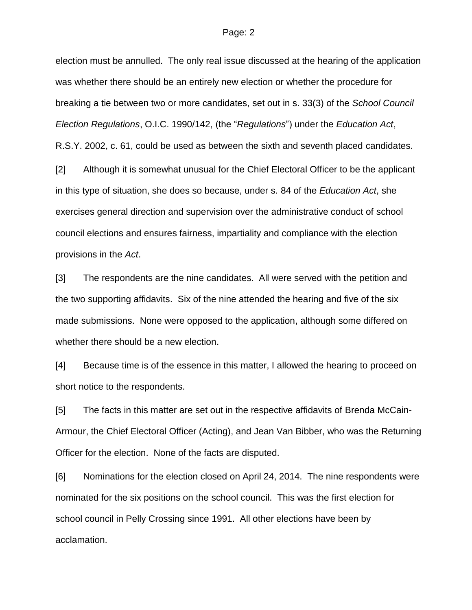election must be annulled. The only real issue discussed at the hearing of the application was whether there should be an entirely new election or whether the procedure for breaking a tie between two or more candidates, set out in s. 33(3) of the *School Council Election Regulations*, O.I.C. 1990/142, (the "*Regulations*") under the *Education Act*, R.S.Y. 2002, c. 61, could be used as between the sixth and seventh placed candidates.

[2] Although it is somewhat unusual for the Chief Electoral Officer to be the applicant in this type of situation, she does so because, under s. 84 of the *Education Act*, she exercises general direction and supervision over the administrative conduct of school council elections and ensures fairness, impartiality and compliance with the election provisions in the *Act*.

[3] The respondents are the nine candidates. All were served with the petition and the two supporting affidavits. Six of the nine attended the hearing and five of the six made submissions. None were opposed to the application, although some differed on whether there should be a new election.

[4] Because time is of the essence in this matter, I allowed the hearing to proceed on short notice to the respondents.

[5] The facts in this matter are set out in the respective affidavits of Brenda McCain-Armour, the Chief Electoral Officer (Acting), and Jean Van Bibber, who was the Returning Officer for the election. None of the facts are disputed.

[6] Nominations for the election closed on April 24, 2014. The nine respondents were nominated for the six positions on the school council. This was the first election for school council in Pelly Crossing since 1991. All other elections have been by acclamation.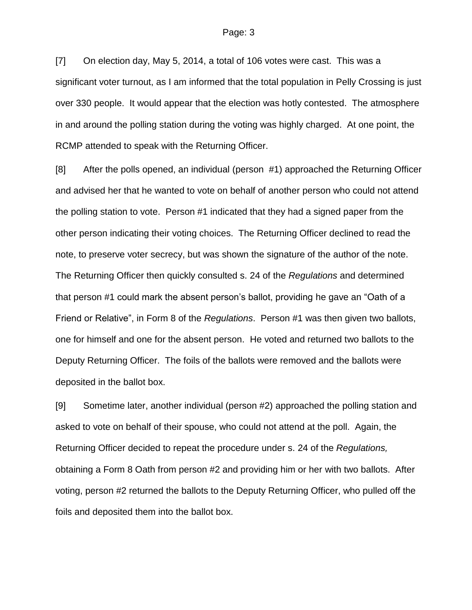[7] On election day, May 5, 2014, a total of 106 votes were cast. This was a significant voter turnout, as I am informed that the total population in Pelly Crossing is just over 330 people. It would appear that the election was hotly contested. The atmosphere in and around the polling station during the voting was highly charged. At one point, the RCMP attended to speak with the Returning Officer.

[8] After the polls opened, an individual (person #1) approached the Returning Officer and advised her that he wanted to vote on behalf of another person who could not attend the polling station to vote. Person #1 indicated that they had a signed paper from the other person indicating their voting choices. The Returning Officer declined to read the note, to preserve voter secrecy, but was shown the signature of the author of the note. The Returning Officer then quickly consulted s. 24 of the *Regulations* and determined that person #1 could mark the absent person's ballot, providing he gave an "Oath of a Friend or Relative", in Form 8 of the *Regulations*. Person #1 was then given two ballots, one for himself and one for the absent person. He voted and returned two ballots to the Deputy Returning Officer. The foils of the ballots were removed and the ballots were deposited in the ballot box.

[9] Sometime later, another individual (person #2) approached the polling station and asked to vote on behalf of their spouse, who could not attend at the poll. Again, the Returning Officer decided to repeat the procedure under s. 24 of the *Regulations,*  obtaining a Form 8 Oath from person #2 and providing him or her with two ballots. After voting, person #2 returned the ballots to the Deputy Returning Officer, who pulled off the foils and deposited them into the ballot box.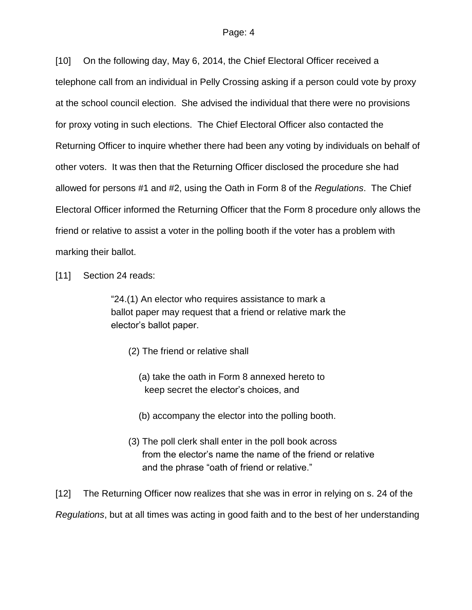[10] On the following day, May 6, 2014, the Chief Electoral Officer received a telephone call from an individual in Pelly Crossing asking if a person could vote by proxy at the school council election. She advised the individual that there were no provisions for proxy voting in such elections. The Chief Electoral Officer also contacted the Returning Officer to inquire whether there had been any voting by individuals on behalf of other voters. It was then that the Returning Officer disclosed the procedure she had allowed for persons #1 and #2, using the Oath in Form 8 of the *Regulations*. The Chief Electoral Officer informed the Returning Officer that the Form 8 procedure only allows the friend or relative to assist a voter in the polling booth if the voter has a problem with marking their ballot.

[11] Section 24 reads:

"24.(1) An elector who requires assistance to mark a ballot paper may request that a friend or relative mark the elector's ballot paper.

- (2) The friend or relative shall
	- (a) take the oath in Form 8 annexed hereto to keep secret the elector's choices, and
	- (b) accompany the elector into the polling booth.
- (3) The poll clerk shall enter in the poll book across from the elector's name the name of the friend or relative and the phrase "oath of friend or relative."

[12] The Returning Officer now realizes that she was in error in relying on s. 24 of the *Regulations*, but at all times was acting in good faith and to the best of her understanding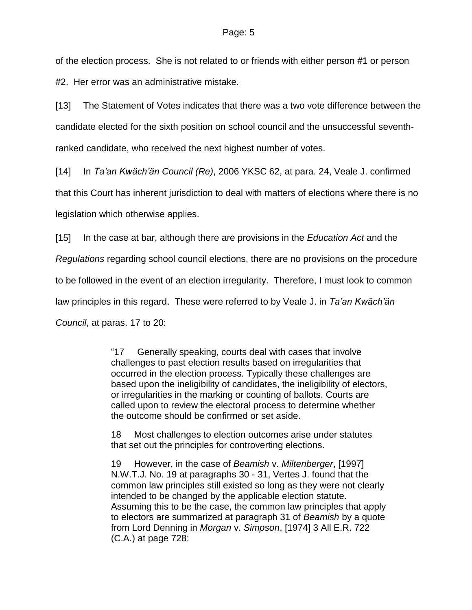of the election process. She is not related to or friends with either person #1 or person #2. Her error was an administrative mistake.

[13] The Statement of Votes indicates that there was a two vote difference between the candidate elected for the sixth position on school council and the unsuccessful seventhranked candidate, who received the next highest number of votes.

[14] In *Ta'an Kwäch'än Council (Re)*, 2006 YKSC 62, at para. 24, Veale J. confirmed that this Court has inherent jurisdiction to deal with matters of elections where there is no legislation which otherwise applies.

[15] In the case at bar, although there are provisions in the *Education Act* and the

*Regulations* regarding school council elections, there are no provisions on the procedure

to be followed in the event of an election irregularity. Therefore, I must look to common

law principles in this regard. These were referred to by Veale J. in *Ta'an Kwäch'än*

*Council*, at paras. 17 to 20:

"17 Generally speaking, courts deal with cases that involve challenges to past election results based on irregularities that occurred in the election process. Typically these challenges are based upon the ineligibility of candidates, the ineligibility of electors, or irregularities in the marking or counting of ballots. Courts are called upon to review the electoral process to determine whether the outcome should be confirmed or set aside.

18 Most challenges to election outcomes arise under statutes that set out the principles for controverting elections.

19 However, in the case of *Beamish* v. *Miltenberger*, [\[1997\]](http://www.lexisnexis.com/ca/legal/search/runRemoteLink.do?A=0.8179603728177899&bct=A&service=citation&risb=21_T19893581491&langcountry=CA&linkInfo=F%23CA%23NWTJ%23ref%2519%25sel1%251997%25year%251997%25)  [N.W.T.J. No. 19](http://www.lexisnexis.com/ca/legal/search/runRemoteLink.do?A=0.8179603728177899&bct=A&service=citation&risb=21_T19893581491&langcountry=CA&linkInfo=F%23CA%23NWTJ%23ref%2519%25sel1%251997%25year%251997%25) at paragraphs 30 - 31, Vertes J. found that the common law principles still existed so long as they were not clearly intended to be changed by the applicable election statute. Assuming this to be the case, the common law principles that apply to electors are summarized at paragraph 31 of *Beamish* by a quote from Lord Denning in *Morgan* v. *Simpson*, [1974] 3 All E.R. 722 (C.A.) at page 728: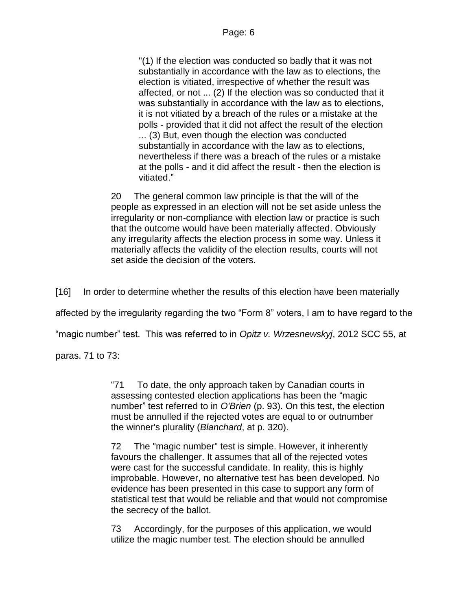"(1) If the election was conducted so badly that it was not substantially in accordance with the law as to elections, the election is vitiated, irrespective of whether the result was affected, or not ... (2) If the election was so conducted that it was substantially in accordance with the law as to elections, it is not vitiated by a breach of the rules or a mistake at the polls - provided that it did not affect the result of the election ... (3) But, even though the election was conducted substantially in accordance with the law as to elections, nevertheless if there was a breach of the rules or a mistake at the polls - and it did affect the result - then the election is vitiated."

20 The general common law principle is that the will of the people as expressed in an election will not be set aside unless the irregularity or non-compliance with election law or practice is such that the outcome would have been materially affected. Obviously any irregularity affects the election process in some way. Unless it materially affects the validity of the election results, courts will not set aside the decision of the voters.

[16] In order to determine whether the results of this election have been materially

affected by the irregularity regarding the two "Form 8" voters, I am to have regard to the

"magic number" test. This was referred to in *Opitz v. Wrzesnewskyj*, 2012 SCC 55, at

paras. 71 to 73:

"71 To date, the only approach taken by Canadian courts in assessing contested election applications has been the "magic number" test referred to in *O'Brien* (p. 93). On this test, the election must be annulled if the rejected votes are equal to or outnumber the winner's plurality (*Blanchard*, at p. 320).

72 The "magic number" test is simple. However, it inherently favours the challenger. It assumes that all of the rejected votes were cast for the successful candidate. In reality, this is highly improbable. However, no alternative test has been developed. No evidence has been presented in this case to support any form of statistical test that would be reliable and that would not compromise the secrecy of the ballot.

73 Accordingly, for the purposes of this application, we would utilize the magic number test. The election should be annulled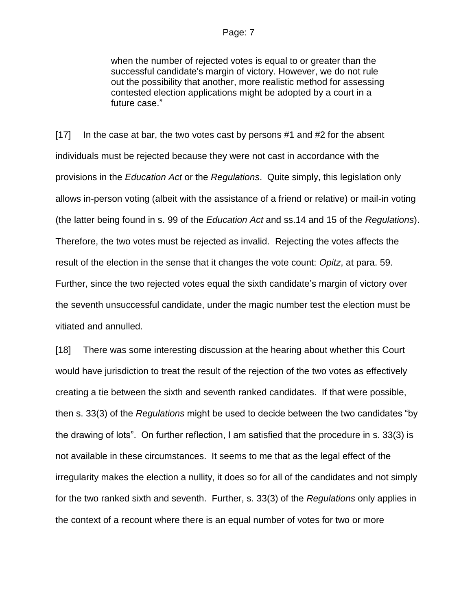when the number of rejected votes is equal to or greater than the successful candidate's margin of victory. However, we do not rule out the possibility that another, more realistic method for assessing contested election applications might be adopted by a court in a future case."

[17] In the case at bar, the two votes cast by persons #1 and #2 for the absent individuals must be rejected because they were not cast in accordance with the provisions in the *Education Act* or the *Regulations*. Quite simply, this legislation only allows in-person voting (albeit with the assistance of a friend or relative) or mail-in voting (the latter being found in s. 99 of the *Education Act* and ss.14 and 15 of the *Regulations*). Therefore, the two votes must be rejected as invalid. Rejecting the votes affects the result of the election in the sense that it changes the vote count: *Opitz*, at para. 59. Further, since the two rejected votes equal the sixth candidate's margin of victory over the seventh unsuccessful candidate, under the magic number test the election must be vitiated and annulled.

[18] There was some interesting discussion at the hearing about whether this Court would have jurisdiction to treat the result of the rejection of the two votes as effectively creating a tie between the sixth and seventh ranked candidates. If that were possible, then s. 33(3) of the *Regulations* might be used to decide between the two candidates "by the drawing of lots". On further reflection, I am satisfied that the procedure in s. 33(3) is not available in these circumstances. It seems to me that as the legal effect of the irregularity makes the election a nullity, it does so for all of the candidates and not simply for the two ranked sixth and seventh. Further, s. 33(3) of the *Regulations* only applies in the context of a recount where there is an equal number of votes for two or more